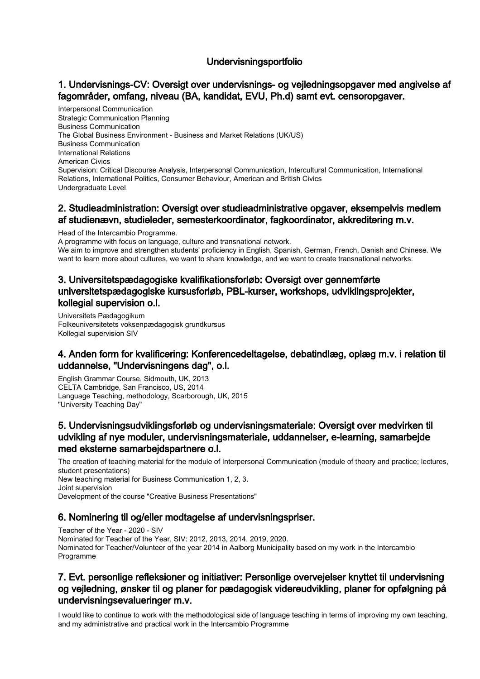## Undervisningsportfolio

# 1. Undervisnings-CV: Oversigt over undervisnings- og vejledningsopgaver med angivelse af fagområder, omfang, niveau (BA, kandidat, EVU, Ph.d) samt evt. censoropgaver.

Interpersonal Communication Strategic Communication Planning Business Communication The Global Business Environment - Business and Market Relations (UK/US) Business Communication International Relations American Civics Supervision: Critical Discourse Analysis, Interpersonal Communication, Intercultural Communication, International Relations, International Politics, Consumer Behaviour, American and British Civics Undergraduate Level

#### 2. Studieadministration: Oversigt over studieadministrative opgaver, eksempelvis medlem af studienævn, studieleder, semesterkoordinator, fagkoordinator, akkreditering m.v.

Head of the Intercambio Programme.

A programme with focus on language, culture and transnational network. We aim to improve and strengthen students' proficiency in English, Spanish, German, French, Danish and Chinese. We want to learn more about cultures, we want to share knowledge, and we want to create transnational networks.

# 3. Universitetspædagogiske kvalifikationsforløb: Oversigt over gennemførte universitetspædagogiske kursusforløb, PBL-kurser, workshops, udviklingsprojekter, kollegial supervision o.l.

Universitets Pædagogikum Folkeuniversitetets voksenpædagogisk grundkursus Kollegial supervision SIV

## 4. Anden form for kvalificering: Konferencedeltagelse, debatindlæg, oplæg m.v. i relation til uddannelse, "Undervisningens dag", o.l.

English Grammar Course, Sidmouth, UK, 2013 CELTA Cambridge, San Francisco, US, 2014 Language Teaching, methodology, Scarborough, UK, 2015 "University Teaching Day"

### 5. Undervisningsudviklingsforløb og undervisningsmateriale: Oversigt over medvirken til udvikling af nye moduler, undervisningsmateriale, uddannelser, e-learning, samarbejde med eksterne samarbejdspartnere o.l.

The creation of teaching material for the module of Interpersonal Communication (module of theory and practice; lectures, student presentations) New teaching material for Business Communication 1, 2, 3. Joint supervision Development of the course "Creative Business Presentations"

#### 6. Nominering til og/eller modtagelse af undervisningspriser.

Teacher of the Year - 2020 - SIV Nominated for Teacher of the Year, SIV: 2012, 2013, 2014, 2019, 2020. Nominated for Teacher/Volunteer of the year 2014 in Aalborg Municipality based on my work in the Intercambio Programme

# 7. Evt. personlige refleksioner og initiativer: Personlige overvejelser knyttet til undervisning og vejledning, ønsker til og planer for pædagogisk videreudvikling, planer for opfølgning på undervisningsevalueringer m.v.

I would like to continue to work with the methodological side of language teaching in terms of improving my own teaching, and my administrative and practical work in the Intercambio Programme